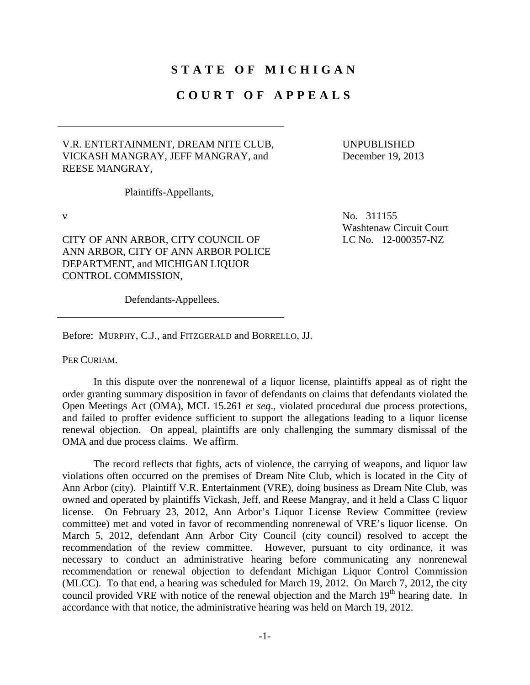## **STATE OF MICHIGAN**

## **COURT OF APPEALS**

## V.R. ENTERTAINMENT, DREAM NITE CLUB, VICKASH MANGRAY, JEFF MANGRAY, and REESE MANGRAY,

UNPUBLISHED December 19, 2013

Plaintiffs-Appellants,

CITY OF ANN ARBOR, CITY COUNCIL OF ANN ARBOR, CITY OF ANN ARBOR POLICE DEPARTMENT, and MICHIGAN LIQUOR CONTROL COMMISSION,

v No. 311155 Washtenaw Circuit Court LC No. 12-000357-NZ

Defendants-Appellees.

Before: MURPHY, C.J., and FITZGERALD and BORRELLO, JJ.

PER CURIAM.

 In this dispute over the nonrenewal of a liquor license, plaintiffs appeal as of right the order granting summary disposition in favor of defendants on claims that defendants violated the Open Meetings Act (OMA), MCL 15.261 *et seq*., violated procedural due process protections, and failed to proffer evidence sufficient to support the allegations leading to a liquor license renewal objection. On appeal, plaintiffs are only challenging the summary dismissal of the OMA and due process claims. We affirm.

 The record reflects that fights, acts of violence, the carrying of weapons, and liquor law violations often occurred on the premises of Dream Nite Club, which is located in the City of Ann Arbor (city). Plaintiff V.R. Entertainment (VRE), doing business as Dream Nite Club, was owned and operated by plaintiffs Vickash, Jeff, and Reese Mangray, and it held a Class C liquor license. On February 23, 2012, Ann Arbor's Liquor License Review Committee (review committee) met and voted in favor of recommending nonrenewal of VRE's liquor license. On March 5, 2012, defendant Ann Arbor City Council (city council) resolved to accept the recommendation of the review committee. However, pursuant to city ordinance, it was necessary to conduct an administrative hearing before communicating any nonrenewal recommendation or renewal objection to defendant Michigan Liquor Control Commission (MLCC). To that end, a hearing was scheduled for March 19, 2012. On March 7, 2012, the city council provided VRE with notice of the renewal objection and the March  $19<sup>th</sup>$  hearing date. In accordance with that notice, the administrative hearing was held on March 19, 2012.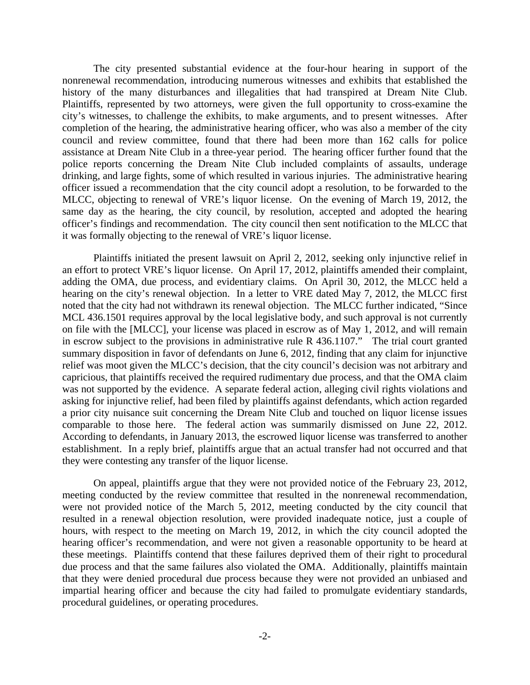The city presented substantial evidence at the four-hour hearing in support of the nonrenewal recommendation, introducing numerous witnesses and exhibits that established the history of the many disturbances and illegalities that had transpired at Dream Nite Club. Plaintiffs, represented by two attorneys, were given the full opportunity to cross-examine the city's witnesses, to challenge the exhibits, to make arguments, and to present witnesses. After completion of the hearing, the administrative hearing officer, who was also a member of the city council and review committee, found that there had been more than 162 calls for police assistance at Dream Nite Club in a three-year period. The hearing officer further found that the police reports concerning the Dream Nite Club included complaints of assaults, underage drinking, and large fights, some of which resulted in various injuries. The administrative hearing officer issued a recommendation that the city council adopt a resolution, to be forwarded to the MLCC, objecting to renewal of VRE's liquor license. On the evening of March 19, 2012, the same day as the hearing, the city council, by resolution, accepted and adopted the hearing officer's findings and recommendation. The city council then sent notification to the MLCC that it was formally objecting to the renewal of VRE's liquor license.

 Plaintiffs initiated the present lawsuit on April 2, 2012, seeking only injunctive relief in an effort to protect VRE's liquor license. On April 17, 2012, plaintiffs amended their complaint, adding the OMA, due process, and evidentiary claims. On April 30, 2012, the MLCC held a hearing on the city's renewal objection. In a letter to VRE dated May 7, 2012, the MLCC first noted that the city had not withdrawn its renewal objection. The MLCC further indicated, "Since MCL 436.1501 requires approval by the local legislative body, and such approval is not currently on file with the [MLCC], your license was placed in escrow as of May 1, 2012, and will remain in escrow subject to the provisions in administrative rule R 436.1107." The trial court granted summary disposition in favor of defendants on June 6, 2012, finding that any claim for injunctive relief was moot given the MLCC's decision, that the city council's decision was not arbitrary and capricious, that plaintiffs received the required rudimentary due process, and that the OMA claim was not supported by the evidence. A separate federal action, alleging civil rights violations and asking for injunctive relief, had been filed by plaintiffs against defendants, which action regarded a prior city nuisance suit concerning the Dream Nite Club and touched on liquor license issues comparable to those here. The federal action was summarily dismissed on June 22, 2012. According to defendants, in January 2013, the escrowed liquor license was transferred to another establishment. In a reply brief, plaintiffs argue that an actual transfer had not occurred and that they were contesting any transfer of the liquor license.

 On appeal, plaintiffs argue that they were not provided notice of the February 23, 2012, meeting conducted by the review committee that resulted in the nonrenewal recommendation, were not provided notice of the March 5, 2012, meeting conducted by the city council that resulted in a renewal objection resolution, were provided inadequate notice, just a couple of hours, with respect to the meeting on March 19, 2012, in which the city council adopted the hearing officer's recommendation, and were not given a reasonable opportunity to be heard at these meetings. Plaintiffs contend that these failures deprived them of their right to procedural due process and that the same failures also violated the OMA. Additionally, plaintiffs maintain that they were denied procedural due process because they were not provided an unbiased and impartial hearing officer and because the city had failed to promulgate evidentiary standards, procedural guidelines, or operating procedures.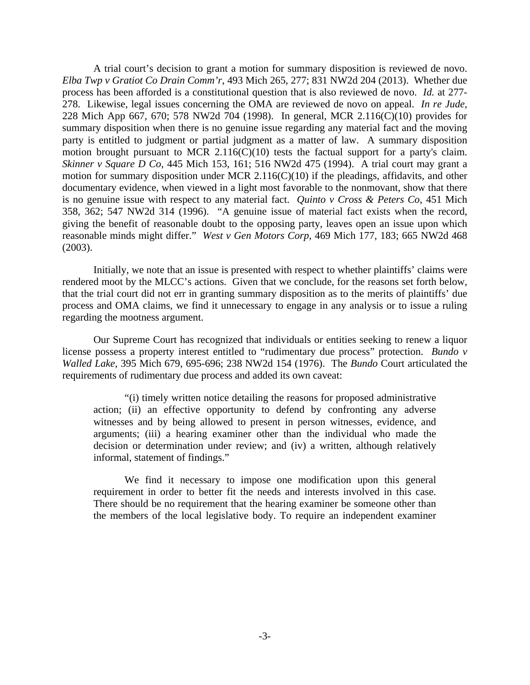A trial court's decision to grant a motion for summary disposition is reviewed de novo. *Elba Twp v Gratiot Co Drain Comm'r*, 493 Mich 265, 277; 831 NW2d 204 (2013). Whether due process has been afforded is a constitutional question that is also reviewed de novo. *Id.* at 277- 278. Likewise, legal issues concerning the OMA are reviewed de novo on appeal. *In re Jude*, 228 Mich App 667, 670; 578 NW2d 704 (1998). In general, MCR 2.116(C)(10) provides for summary disposition when there is no genuine issue regarding any material fact and the moving party is entitled to judgment or partial judgment as a matter of law. A summary disposition motion brought pursuant to MCR 2.116(C)(10) tests the factual support for a party's claim. *Skinner v Square D Co*, 445 Mich 153, 161; 516 NW2d 475 (1994). A trial court may grant a motion for summary disposition under MCR 2.116(C)(10) if the pleadings, affidavits, and other documentary evidence, when viewed in a light most favorable to the nonmovant, show that there is no genuine issue with respect to any material fact. *Quinto v Cross & Peters Co*, 451 Mich 358, 362; 547 NW2d 314 (1996). "A genuine issue of material fact exists when the record, giving the benefit of reasonable doubt to the opposing party, leaves open an issue upon which reasonable minds might differ." *West v Gen Motors Corp*, 469 Mich 177, 183; 665 NW2d 468 (2003).

 Initially, we note that an issue is presented with respect to whether plaintiffs' claims were rendered moot by the MLCC's actions. Given that we conclude, for the reasons set forth below, that the trial court did not err in granting summary disposition as to the merits of plaintiffs' due process and OMA claims, we find it unnecessary to engage in any analysis or to issue a ruling regarding the mootness argument.

Our Supreme Court has recognized that individuals or entities seeking to renew a liquor license possess a property interest entitled to "rudimentary due process" protection. *Bundo v Walled Lake*, 395 Mich 679, 695-696; 238 NW2d 154 (1976). The *Bundo* Court articulated the requirements of rudimentary due process and added its own caveat:

 "(i) timely written notice detailing the reasons for proposed administrative action; (ii) an effective opportunity to defend by confronting any adverse witnesses and by being allowed to present in person witnesses, evidence, and arguments; (iii) a hearing examiner other than the individual who made the decision or determination under review; and (iv) a written, although relatively informal, statement of findings."

 We find it necessary to impose one modification upon this general requirement in order to better fit the needs and interests involved in this case. There should be no requirement that the hearing examiner be someone other than the members of the local legislative body. To require an independent examiner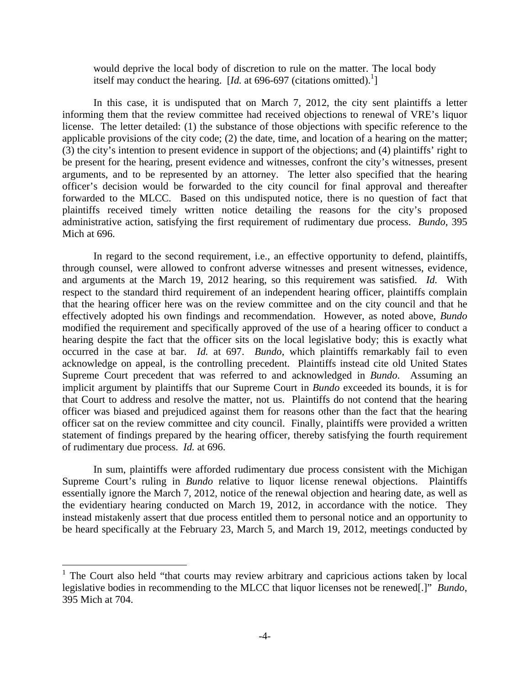would deprive the local body of discretion to rule on the matter. The local body itself may conduct the hearing. [*Id.* at 696-697 (citations omitted).<sup>1</sup>]

In this case, it is undisputed that on March 7, 2012, the city sent plaintiffs a letter informing them that the review committee had received objections to renewal of VRE's liquor license. The letter detailed: (1) the substance of those objections with specific reference to the applicable provisions of the city code; (2) the date, time, and location of a hearing on the matter; (3) the city's intention to present evidence in support of the objections; and (4) plaintiffs' right to be present for the hearing, present evidence and witnesses, confront the city's witnesses, present arguments, and to be represented by an attorney. The letter also specified that the hearing officer's decision would be forwarded to the city council for final approval and thereafter forwarded to the MLCC. Based on this undisputed notice, there is no question of fact that plaintiffs received timely written notice detailing the reasons for the city's proposed administrative action, satisfying the first requirement of rudimentary due process. *Bundo*, 395 Mich at 696.

In regard to the second requirement, i.e., an effective opportunity to defend, plaintiffs, through counsel, were allowed to confront adverse witnesses and present witnesses, evidence, and arguments at the March 19, 2012 hearing, so this requirement was satisfied. *Id.* With respect to the standard third requirement of an independent hearing officer, plaintiffs complain that the hearing officer here was on the review committee and on the city council and that he effectively adopted his own findings and recommendation. However, as noted above, *Bundo* modified the requirement and specifically approved of the use of a hearing officer to conduct a hearing despite the fact that the officer sits on the local legislative body; this is exactly what occurred in the case at bar. *Id.* at 697. *Bundo*, which plaintiffs remarkably fail to even acknowledge on appeal, is the controlling precedent. Plaintiffs instead cite old United States Supreme Court precedent that was referred to and acknowledged in *Bundo*. Assuming an implicit argument by plaintiffs that our Supreme Court in *Bundo* exceeded its bounds, it is for that Court to address and resolve the matter, not us. Plaintiffs do not contend that the hearing officer was biased and prejudiced against them for reasons other than the fact that the hearing officer sat on the review committee and city council. Finally, plaintiffs were provided a written statement of findings prepared by the hearing officer, thereby satisfying the fourth requirement of rudimentary due process. *Id.* at 696.

In sum, plaintiffs were afforded rudimentary due process consistent with the Michigan Supreme Court's ruling in *Bundo* relative to liquor license renewal objections. Plaintiffs essentially ignore the March 7, 2012, notice of the renewal objection and hearing date, as well as the evidentiary hearing conducted on March 19, 2012, in accordance with the notice. They instead mistakenly assert that due process entitled them to personal notice and an opportunity to be heard specifically at the February 23, March 5, and March 19, 2012, meetings conducted by

1

<sup>&</sup>lt;sup>1</sup> The Court also held "that courts may review arbitrary and capricious actions taken by local legislative bodies in recommending to the MLCC that liquor licenses not be renewed[.]" *Bundo*, 395 Mich at 704.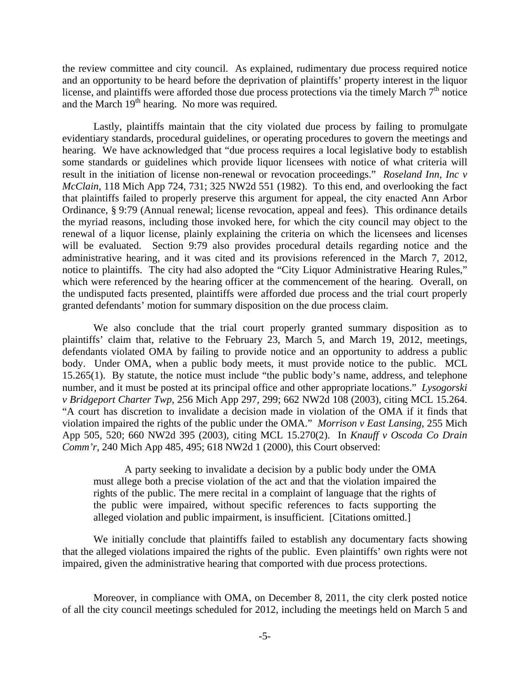the review committee and city council. As explained, rudimentary due process required notice and an opportunity to be heard before the deprivation of plaintiffs' property interest in the liquor license, and plaintiffs were afforded those due process protections via the timely March 7<sup>th</sup> notice and the March  $19<sup>th</sup>$  hearing. No more was required.

Lastly, plaintiffs maintain that the city violated due process by failing to promulgate evidentiary standards, procedural guidelines, or operating procedures to govern the meetings and hearing. We have acknowledged that "due process requires a local legislative body to establish some standards or guidelines which provide liquor licensees with notice of what criteria will result in the initiation of license non-renewal or revocation proceedings." *Roseland Inn, Inc v McClain*, 118 Mich App 724, 731; 325 NW2d 551 (1982). To this end, and overlooking the fact that plaintiffs failed to properly preserve this argument for appeal, the city enacted Ann Arbor Ordinance, § 9:79 (Annual renewal; license revocation, appeal and fees). This ordinance details the myriad reasons, including those invoked here, for which the city council may object to the renewal of a liquor license, plainly explaining the criteria on which the licensees and licenses will be evaluated. Section 9:79 also provides procedural details regarding notice and the administrative hearing, and it was cited and its provisions referenced in the March 7, 2012, notice to plaintiffs. The city had also adopted the "City Liquor Administrative Hearing Rules," which were referenced by the hearing officer at the commencement of the hearing. Overall, on the undisputed facts presented, plaintiffs were afforded due process and the trial court properly granted defendants' motion for summary disposition on the due process claim.

 We also conclude that the trial court properly granted summary disposition as to plaintiffs' claim that, relative to the February 23, March 5, and March 19, 2012, meetings, defendants violated OMA by failing to provide notice and an opportunity to address a public body. Under OMA, when a public body meets, it must provide notice to the public. MCL 15.265(1). By statute, the notice must include "the public body's name, address, and telephone number, and it must be posted at its principal office and other appropriate locations." *Lysogorski v Bridgeport Charter Twp*, 256 Mich App 297, 299; 662 NW2d 108 (2003), citing MCL 15.264. "A court has discretion to invalidate a decision made in violation of the OMA if it finds that violation impaired the rights of the public under the OMA." *Morrison v East Lansing*, 255 Mich App 505, 520; 660 NW2d 395 (2003), citing MCL 15.270(2). In *Knauff v Oscoda Co Drain Comm'r*, 240 Mich App 485, 495; 618 NW2d 1 (2000), this Court observed:

 A party seeking to invalidate a decision by a public body under the OMA must allege both a precise violation of the act and that the violation impaired the rights of the public. The mere recital in a complaint of language that the rights of the public were impaired, without specific references to facts supporting the alleged violation and public impairment, is insufficient. [Citations omitted.]

 We initially conclude that plaintiffs failed to establish any documentary facts showing that the alleged violations impaired the rights of the public. Even plaintiffs' own rights were not impaired, given the administrative hearing that comported with due process protections.

Moreover, in compliance with OMA, on December 8, 2011, the city clerk posted notice of all the city council meetings scheduled for 2012, including the meetings held on March 5 and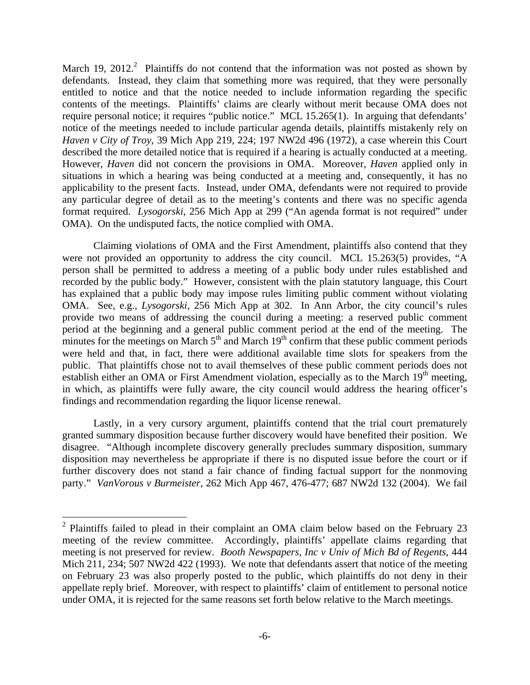March 19, 2012.<sup>2</sup> Plaintiffs do not contend that the information was not posted as shown by defendants. Instead, they claim that something more was required, that they were personally entitled to notice and that the notice needed to include information regarding the specific contents of the meetings. Plaintiffs' claims are clearly without merit because OMA does not require personal notice; it requires "public notice." MCL 15.265(1). In arguing that defendants' notice of the meetings needed to include particular agenda details, plaintiffs mistakenly rely on *Haven v City of Troy*, 39 Mich App 219, 224; 197 NW2d 496 (1972), a case wherein this Court described the more detailed notice that is required if a hearing is actually conducted at a meeting. However, *Haven* did not concern the provisions in OMA. Moreover, *Haven* applied only in situations in which a hearing was being conducted at a meeting and, consequently, it has no applicability to the present facts. Instead, under OMA, defendants were not required to provide any particular degree of detail as to the meeting's contents and there was no specific agenda format required. *Lysogorski*, 256 Mich App at 299 ("An agenda format is not required" under OMA). On the undisputed facts, the notice complied with OMA.

 Claiming violations of OMA and the First Amendment, plaintiffs also contend that they were not provided an opportunity to address the city council. MCL 15.263(5) provides, "A person shall be permitted to address a meeting of a public body under rules established and recorded by the public body." However, consistent with the plain statutory language, this Court has explained that a public body may impose rules limiting public comment without violating OMA. See, e.g., *Lysogorski*, 256 Mich App at 302. In Ann Arbor, the city council's rules provide two means of addressing the council during a meeting: a reserved public comment period at the beginning and a general public comment period at the end of the meeting. The minutes for the meetings on March  $5<sup>th</sup>$  and March  $19<sup>th</sup>$  confirm that these public comment periods were held and that, in fact, there were additional available time slots for speakers from the public. That plaintiffs chose not to avail themselves of these public comment periods does not establish either an OMA or First Amendment violation, especially as to the March  $19<sup>th</sup>$  meeting, in which, as plaintiffs were fully aware, the city council would address the hearing officer's findings and recommendation regarding the liquor license renewal.

 Lastly, in a very cursory argument, plaintiffs contend that the trial court prematurely granted summary disposition because further discovery would have benefited their position. We disagree. "Although incomplete discovery generally precludes summary disposition, summary disposition may nevertheless be appropriate if there is no disputed issue before the court or if further discovery does not stand a fair chance of finding factual support for the nonmoving party." *VanVorous v Burmeister*, 262 Mich App 467, 476-477; 687 NW2d 132 (2004). We fail

1

 $2$  Plaintiffs failed to plead in their complaint an OMA claim below based on the February 23 meeting of the review committee. Accordingly, plaintiffs' appellate claims regarding that meeting is not preserved for review. *Booth Newspapers, Inc v Univ of Mich Bd of Regents*, 444 Mich 211, 234; 507 NW2d 422 (1993). We note that defendants assert that notice of the meeting on February 23 was also properly posted to the public, which plaintiffs do not deny in their appellate reply brief. Moreover, with respect to plaintiffs' claim of entitlement to personal notice under OMA, it is rejected for the same reasons set forth below relative to the March meetings.